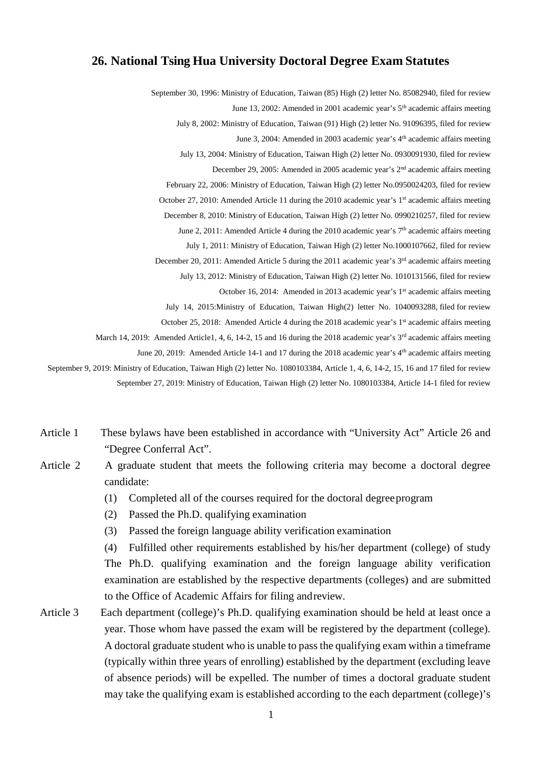## **26. National Tsing Hua University Doctoral Degree Exam Statutes**

September 30, 1996: Ministry of Education, Taiwan (85) High (2) letter No. 85082940, filed for review June 13, 2002: Amended in 2001 academic year's 5<sup>th</sup> academic affairs meeting July 8, 2002: Ministry of Education, Taiwan (91) High (2) letter No. 91096395, filed for review June 3, 2004: Amended in 2003 academic year's 4th academic affairs meeting July 13, 2004: Ministry of Education, Taiwan High (2) letter No. 0930091930, filed for review December 29, 2005: Amended in 2005 academic year's 2nd academic affairs meeting February 22, 2006: Ministry of Education, Taiwan High (2) letter No.0950024203, filed for review October 27, 2010: Amended Article 11 during the 2010 academic year's 1<sup>st</sup> academic affairs meeting December 8, 2010: Ministry of Education, Taiwan High (2) letter No. 0990210257, filed for review June 2, 2011: Amended Article 4 during the 2010 academic year's 7<sup>th</sup> academic affairs meeting July 1, 2011: Ministry of Education, Taiwan High (2) letter No.1000107662, filed for review December 20, 2011: Amended Article 5 during the 2011 academic year's 3<sup>rd</sup> academic affairs meeting July 13, 2012: Ministry of Education, Taiwan High (2) letter No. 1010131566, filed for review October 16, 2014: Amended in 2013 academic year's 1<sup>st</sup> academic affairs meeting July 14, 2015:Ministry of Education, Taiwan High(2) letter No. 1040093288, filed for review October 25, 2018: Amended Article 4 during the 2018 academic year's 1<sup>st</sup> academic affairs meeting March 14, 2019: Amended Article1, 4, 6, 14-2, 15 and 16 during the 2018 academic year's  $3<sup>rd</sup>$  academic affairs meeting June 20, 2019: Amended Article 14-1 and 17 during the 2018 academic year's 4<sup>th</sup> academic affairs meeting September 9, 2019: Ministry of Education, Taiwan High (2) letter No. 1080103384, Article 1, 4, 6, 14-2, 15, 16 and 17 filed for review September 27, 2019: Ministry of Education, Taiwan High (2) letter No. 1080103384, Article 14-1 filed for review

- Article 1 These bylaws have been established in accordance with "University Act" Article 26 and "Degree Conferral Act".
- Article 2 A graduate student that meets the following criteria may become a doctoral degree candidate:
	- (1) Completed all of the courses required for the doctoral degreeprogram
	- (2) Passed the Ph.D. qualifying examination
	- (3) Passed the foreign language ability verification examination

(4) Fulfilled other requirements established by his/her department (college) of study The Ph.D. qualifying examination and the foreign language ability verification examination are established by the respective departments (colleges) and are submitted to the Office of Academic Affairs for filing andreview.

Article 3 Each department (college)'s Ph.D. qualifying examination should be held at least once a year. Those whom have passed the exam will be registered by the department (college). A doctoral graduate student who is unable to pass the qualifying exam within a timeframe (typically within three years of enrolling) established by the department (excluding leave of absence periods) will be expelled. The number of times a doctoral graduate student may take the qualifying exam is established according to the each department (college)'s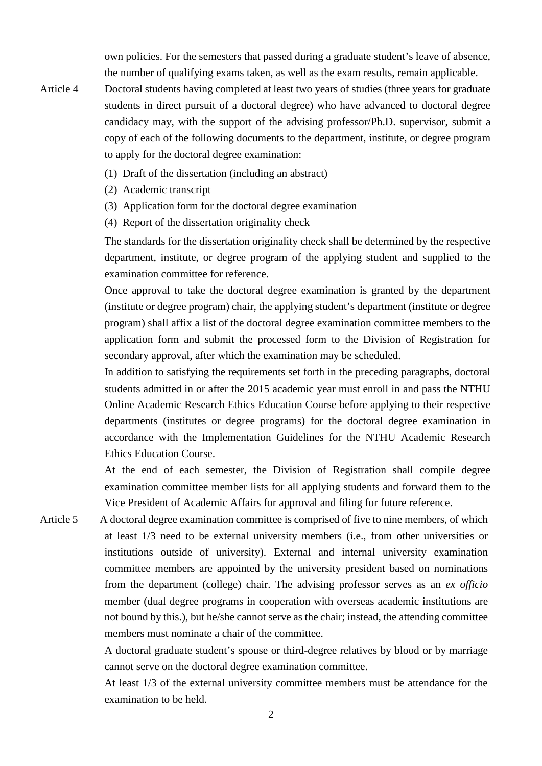own policies. For the semesters that passed during a graduate student's leave of absence, the number of qualifying exams taken, as well as the exam results, remain applicable.

- Article 4 Doctoral students having completed at least two years of studies (three years for graduate students in direct pursuit of a doctoral degree) who have advanced to doctoral degree candidacy may, with the support of the advising professor/Ph.D. supervisor, submit a copy of each of the following documents to the department, institute, or degree program to apply for the doctoral degree examination:
	- (1) Draft of the dissertation (including an abstract)
	- (2) Academic transcript
	- (3) Application form for the doctoral degree examination
	- (4) Report of the dissertation originality check

The standards for the dissertation originality check shall be determined by the respective department, institute, or degree program of the applying student and supplied to the examination committee for reference.

Once approval to take the doctoral degree examination is granted by the department (institute or degree program) chair, the applying student's department (institute or degree program) shall affix a list of the doctoral degree examination committee members to the application form and submit the processed form to the Division of Registration for secondary approval, after which the examination may be scheduled.

In addition to satisfying the requirements set forth in the preceding paragraphs, doctoral students admitted in or after the 2015 academic year must enroll in and pass the NTHU Online Academic Research Ethics Education Course before applying to their respective departments (institutes or degree programs) for the doctoral degree examination in accordance with the Implementation Guidelines for the NTHU Academic Research Ethics Education Course.

At the end of each semester, the Division of Registration shall compile degree examination committee member lists for all applying students and forward them to the Vice President of Academic Affairs for approval and filing for future reference.

Article 5 A doctoral degree examination committee is comprised of five to nine members, of which at least 1/3 need to be external university members (i.e., from other universities or institutions outside of university). External and internal university examination committee members are appointed by the university president based on nominations from the department (college) chair. The advising professor serves as an *ex officio* member (dual degree programs in cooperation with overseas academic institutions are not bound by this.), but he/she cannot serve as the chair; instead, the attending committee members must nominate a chair of the committee.

> A doctoral graduate student's spouse or third-degree relatives by blood or by marriage cannot serve on the doctoral degree examination committee.

> At least 1/3 of the external university committee members must be attendance for the examination to be held.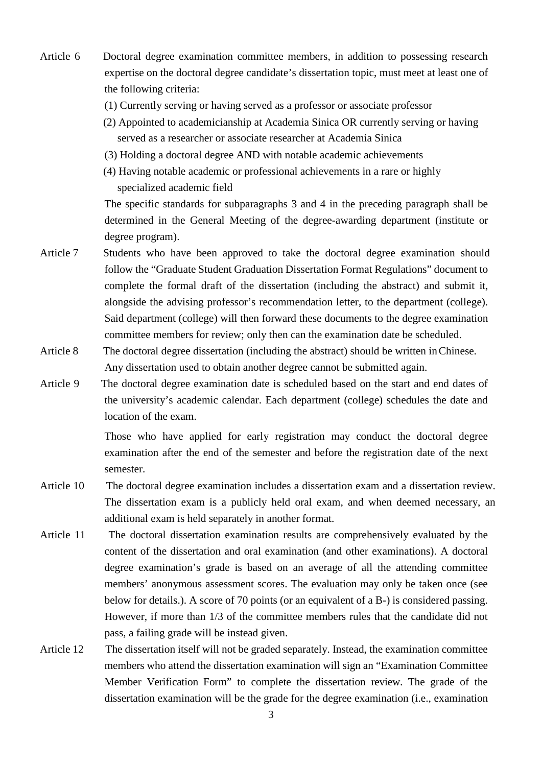- Article 6 Doctoral degree examination committee members, in addition to possessing research expertise on the doctoral degree candidate's dissertation topic, must meet at least one of the following criteria:
	- (1) Currently serving or having served as a professor or associate professor
	- (2) Appointed to academicianship at Academia Sinica OR currently serving or having served as a researcher or associate researcher at Academia Sinica
	- (3) Holding a doctoral degree AND with notable academic achievements
	- (4) Having notable academic or professional achievements in a rare or highly specialized academic field

The specific standards for subparagraphs 3 and 4 in the preceding paragraph shall be determined in the General Meeting of the degree-awarding department (institute or degree program).

- Article 7 Students who have been approved to take the doctoral degree examination should follow the "Graduate Student Graduation Dissertation Format Regulations" document to complete the formal draft of the dissertation (including the abstract) and submit it, alongside the advising professor's recommendation letter, to the department (college). Said department (college) will then forward these documents to the degree examination committee members for review; only then can the examination date be scheduled.
- Article 8 The doctoral degree dissertation (including the abstract) should be written in Chinese. Any dissertation used to obtain another degree cannot be submitted again.
- Article 9 The doctoral degree examination date is scheduled based on the start and end dates of the university's academic calendar. Each department (college) schedules the date and location of the exam.

Those who have applied for early registration may conduct the doctoral degree examination after the end of the semester and before the registration date of the next semester.

- Article 10 The doctoral degree examination includes a dissertation exam and a dissertation review. The dissertation exam is a publicly held oral exam, and when deemed necessary, an additional exam is held separately in another format.
- Article 11 The doctoral dissertation examination results are comprehensively evaluated by the content of the dissertation and oral examination (and other examinations). A doctoral degree examination's grade is based on an average of all the attending committee members' anonymous assessment scores. The evaluation may only be taken once (see below for details.). A score of 70 points (or an equivalent of a B-) is considered passing. However, if more than 1/3 of the committee members rules that the candidate did not pass, a failing grade will be instead given.
- Article 12 The dissertation itself will not be graded separately. Instead, the examination committee members who attend the dissertation examination will sign an "Examination Committee Member Verification Form" to complete the dissertation review. The grade of the dissertation examination will be the grade for the degree examination (i.e., examination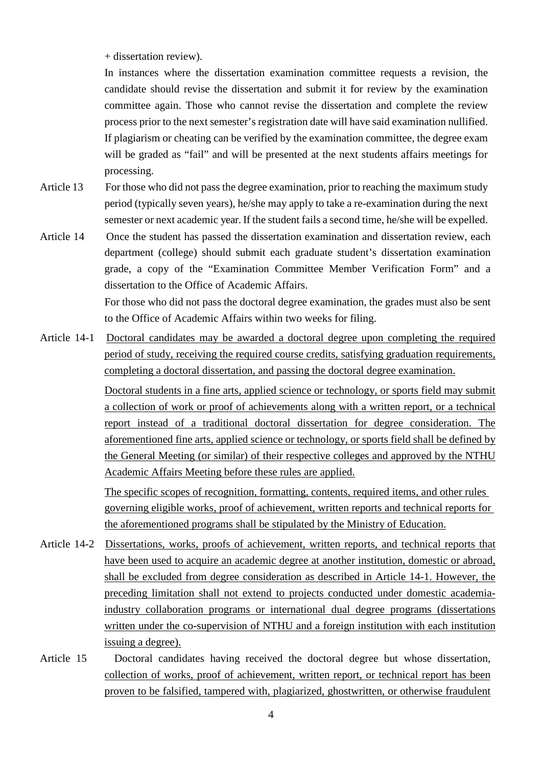+ dissertation review).

In instances where the dissertation examination committee requests a revision, the candidate should revise the dissertation and submit it for review by the examination committee again. Those who cannot revise the dissertation and complete the review process prior to the next semester's registration date will have said examination nullified. If plagiarism or cheating can be verified by the examination committee, the degree exam will be graded as "fail" and will be presented at the next students affairs meetings for processing.

Article 13 For those who did not pass the degree examination, prior to reaching the maximum study period (typically seven years), he/she may apply to take a re-examination during the next semester or next academic year. If the student fails a second time, he/she will be expelled.

Article 14 Once the student has passed the dissertation examination and dissertation review, each department (college) should submit each graduate student's dissertation examination grade, a copy of the "Examination Committee Member Verification Form" and a dissertation to the Office of Academic Affairs. For those who did not pass the doctoral degree examination, the grades must also be sent

to the Office of Academic Affairs within two weeks for filing.

Article 14-1 Doctoral candidates may be awarded a doctoral degree upon completing the required period of study, receiving the required course credits, satisfying graduation requirements, completing a doctoral dissertation, and passing the doctoral degree examination. Doctoral students in a fine arts, applied science or technology, or sports field may submit a collection of work or proof of achievements along with a written report, or a technical report instead of a traditional doctoral dissertation for degree consideration. The aforementioned fine arts, applied science or technology, or sports field shall be defined by the General Meeting (or similar) of their respective colleges and approved by the NTHU Academic Affairs Meeting before these rules are applied.

> The specific scopes of recognition, formatting, contents, required items, and other rules governing eligible works, proof of achievement, written reports and technical reports for the aforementioned programs shall be stipulated by the Ministry of Education.

- Article 14-2 Dissertations, works, proofs of achievement, written reports, and technical reports that have been used to acquire an academic degree at another institution, domestic or abroad, shall be excluded from degree consideration as described in Article 14-1. However, the preceding limitation shall not extend to projects conducted under domestic academiaindustry collaboration programs or international dual degree programs (dissertations written under the co-supervision of NTHU and a foreign institution with each institution issuing a degree).
- Article 15 Doctoral candidates having received the doctoral degree but whose dissertation, collection of works, proof of achievement, written report, or technical report has been proven to be falsified, tampered with, plagiarized, ghostwritten, or otherwise fraudulent